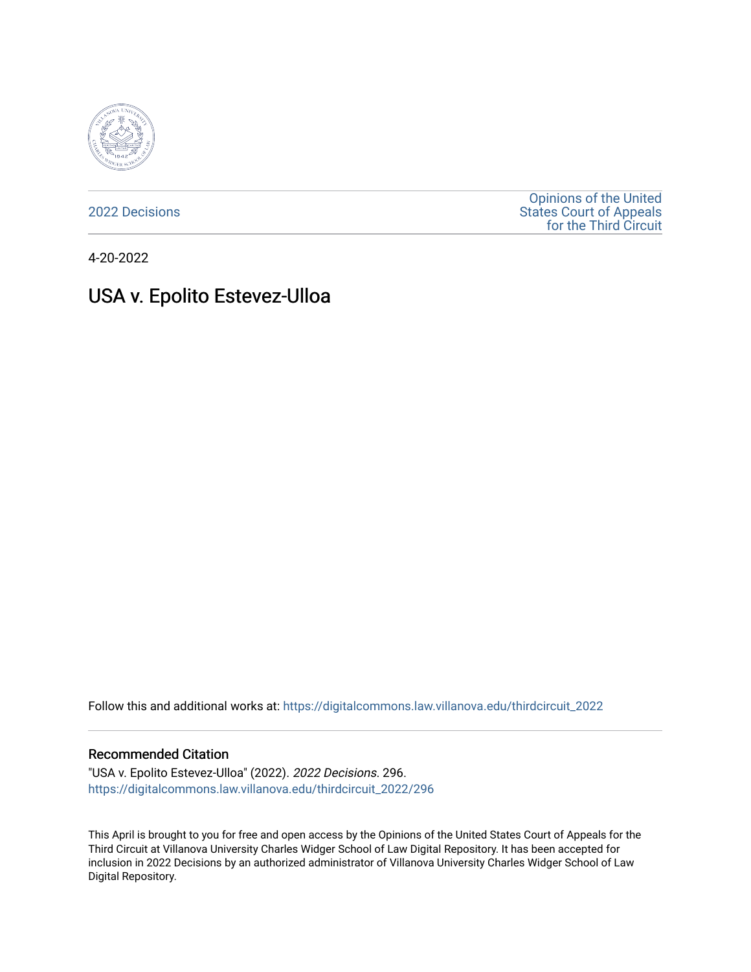

[2022 Decisions](https://digitalcommons.law.villanova.edu/thirdcircuit_2022)

[Opinions of the United](https://digitalcommons.law.villanova.edu/thirdcircuit)  [States Court of Appeals](https://digitalcommons.law.villanova.edu/thirdcircuit)  [for the Third Circuit](https://digitalcommons.law.villanova.edu/thirdcircuit) 

4-20-2022

# USA v. Epolito Estevez-Ulloa

Follow this and additional works at: [https://digitalcommons.law.villanova.edu/thirdcircuit\\_2022](https://digitalcommons.law.villanova.edu/thirdcircuit_2022?utm_source=digitalcommons.law.villanova.edu%2Fthirdcircuit_2022%2F296&utm_medium=PDF&utm_campaign=PDFCoverPages) 

#### Recommended Citation

"USA v. Epolito Estevez-Ulloa" (2022). 2022 Decisions. 296. [https://digitalcommons.law.villanova.edu/thirdcircuit\\_2022/296](https://digitalcommons.law.villanova.edu/thirdcircuit_2022/296?utm_source=digitalcommons.law.villanova.edu%2Fthirdcircuit_2022%2F296&utm_medium=PDF&utm_campaign=PDFCoverPages)

This April is brought to you for free and open access by the Opinions of the United States Court of Appeals for the Third Circuit at Villanova University Charles Widger School of Law Digital Repository. It has been accepted for inclusion in 2022 Decisions by an authorized administrator of Villanova University Charles Widger School of Law Digital Repository.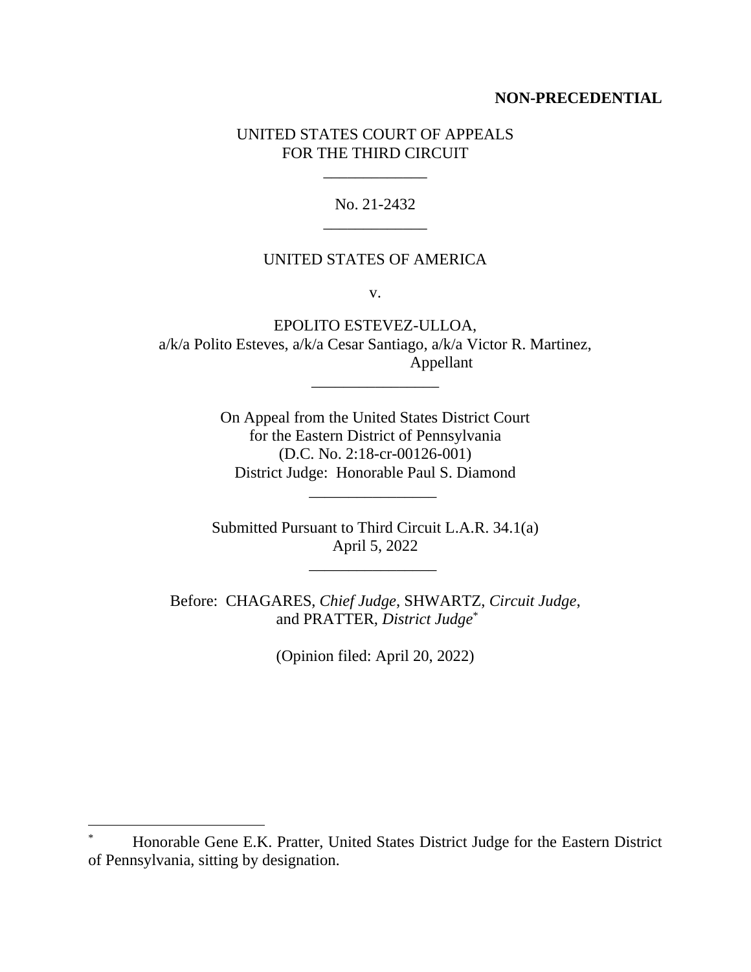# **NON-PRECEDENTIAL**

# UNITED STATES COURT OF APPEALS FOR THE THIRD CIRCUIT

\_\_\_\_\_\_\_\_\_\_\_\_\_

No. 21-2432 \_\_\_\_\_\_\_\_\_\_\_\_\_

#### UNITED STATES OF AMERICA

v.

EPOLITO ESTEVEZ-ULLOA, a/k/a Polito Esteves, a/k/a Cesar Santiago, a/k/a Victor R. Martinez, Appellant

\_\_\_\_\_\_\_\_\_\_\_\_\_\_\_\_

On Appeal from the United States District Court for the Eastern District of Pennsylvania (D.C. No. 2:18-cr-00126-001) District Judge: Honorable Paul S. Diamond

Submitted Pursuant to Third Circuit L.A.R. 34.1(a) April 5, 2022

\_\_\_\_\_\_\_\_\_\_\_\_\_\_\_\_

\_\_\_\_\_\_\_\_\_\_\_\_\_\_\_\_

Before: CHAGARES, *Chief Judge*, SHWARTZ, *Circuit Judge*, and PRATTER, *District Judge*\*

(Opinion filed: April 20, 2022)

<sup>\*</sup> Honorable Gene E.K. Pratter, United States District Judge for the Eastern District of Pennsylvania, sitting by designation.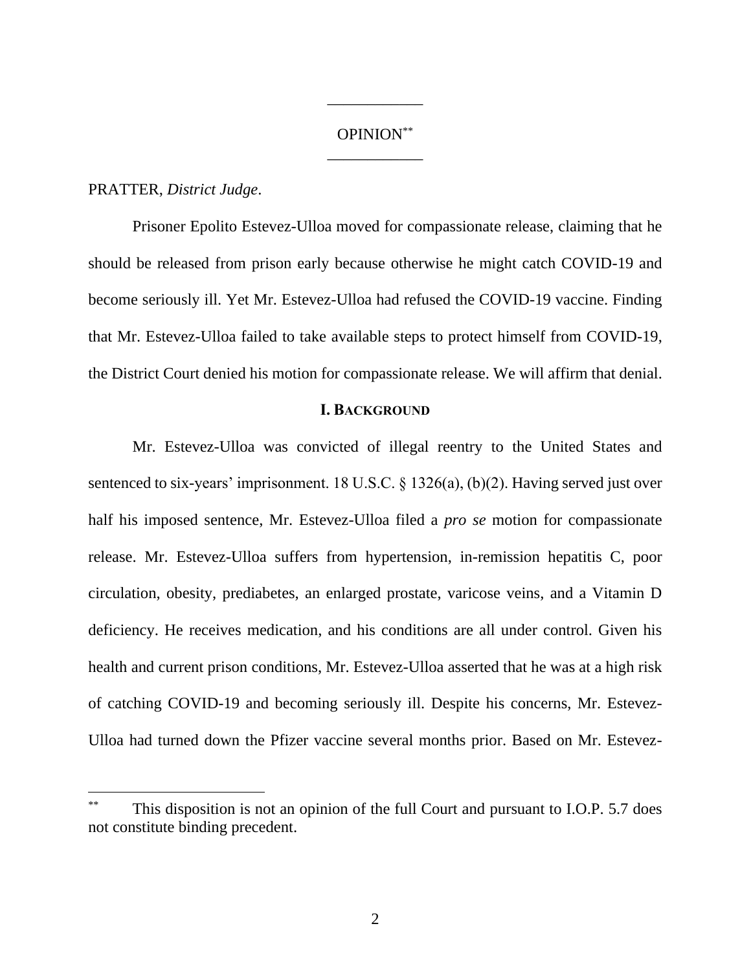# OPINION\*\* \_\_\_\_\_\_\_\_\_\_\_\_

\_\_\_\_\_\_\_\_\_\_\_\_

# PRATTER, *District Judge*.

Prisoner Epolito Estevez-Ulloa moved for compassionate release, claiming that he should be released from prison early because otherwise he might catch COVID-19 and become seriously ill. Yet Mr. Estevez-Ulloa had refused the COVID-19 vaccine. Finding that Mr. Estevez-Ulloa failed to take available steps to protect himself from COVID-19, the District Court denied his motion for compassionate release. We will affirm that denial.

# **I. BACKGROUND**

Mr. Estevez-Ulloa was convicted of illegal reentry to the United States and sentenced to six-years' imprisonment. 18 U.S.C. § 1326(a), (b)(2). Having served just over half his imposed sentence, Mr. Estevez-Ulloa filed a *pro se* motion for compassionate release. Mr. Estevez-Ulloa suffers from hypertension, in-remission hepatitis C, poor circulation, obesity, prediabetes, an enlarged prostate, varicose veins, and a Vitamin D deficiency. He receives medication, and his conditions are all under control. Given his health and current prison conditions, Mr. Estevez-Ulloa asserted that he was at a high risk of catching COVID-19 and becoming seriously ill. Despite his concerns, Mr. Estevez-Ulloa had turned down the Pfizer vaccine several months prior. Based on Mr. Estevez-

This disposition is not an opinion of the full Court and pursuant to I.O.P. 5.7 does not constitute binding precedent.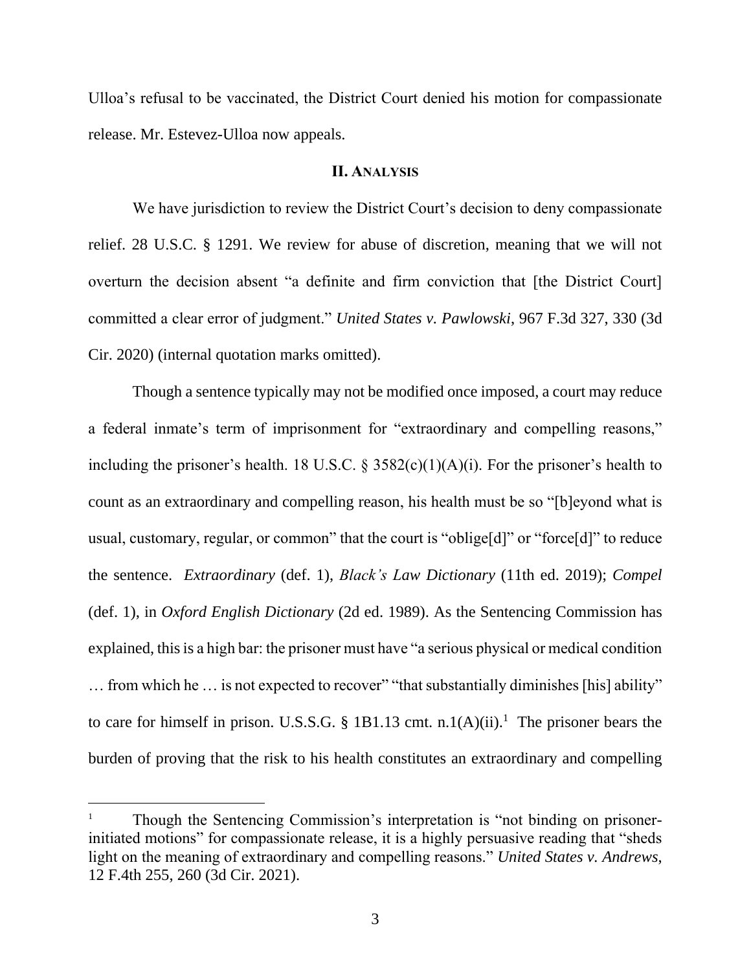Ulloa's refusal to be vaccinated, the District Court denied his motion for compassionate release. Mr. Estevez-Ulloa now appeals.

## **II. ANALYSIS**

We have jurisdiction to review the District Court's decision to deny compassionate relief. 28 U.S.C. § 1291. We review for abuse of discretion, meaning that we will not overturn the decision absent "a definite and firm conviction that [the District Court] committed a clear error of judgment." *United States v. Pawlowski*, 967 F.3d 327, 330 (3d Cir. 2020) (internal quotation marks omitted).

Though a sentence typically may not be modified once imposed, a court may reduce a federal inmate's term of imprisonment for "extraordinary and compelling reasons," including the prisoner's health. 18 U.S.C.  $\S$  3582(c)(1)(A)(i). For the prisoner's health to count as an extraordinary and compelling reason, his health must be so "[b]eyond what is usual, customary, regular, or common" that the court is "oblige[d]" or "force[d]" to reduce the sentence. *Extraordinary* (def. 1), *Black's Law Dictionary* (11th ed. 2019); *Compel* (def. 1), in *Oxford English Dictionary* (2d ed. 1989). As the Sentencing Commission has explained, this is a high bar: the prisoner must have "a serious physical or medical condition ... from which he ... is not expected to recover" "that substantially diminishes [his] ability" to care for himself in prison. U.S.S.G. § 1B1.13 cmt. n.1(A)(ii).<sup>1</sup> The prisoner bears the burden of proving that the risk to his health constitutes an extraordinary and compelling

<sup>1</sup> Though the Sentencing Commission's interpretation is "not binding on prisonerinitiated motions" for compassionate release, it is a highly persuasive reading that "sheds light on the meaning of extraordinary and compelling reasons." *United States v. Andrews*, 12 F.4th 255, 260 (3d Cir. 2021).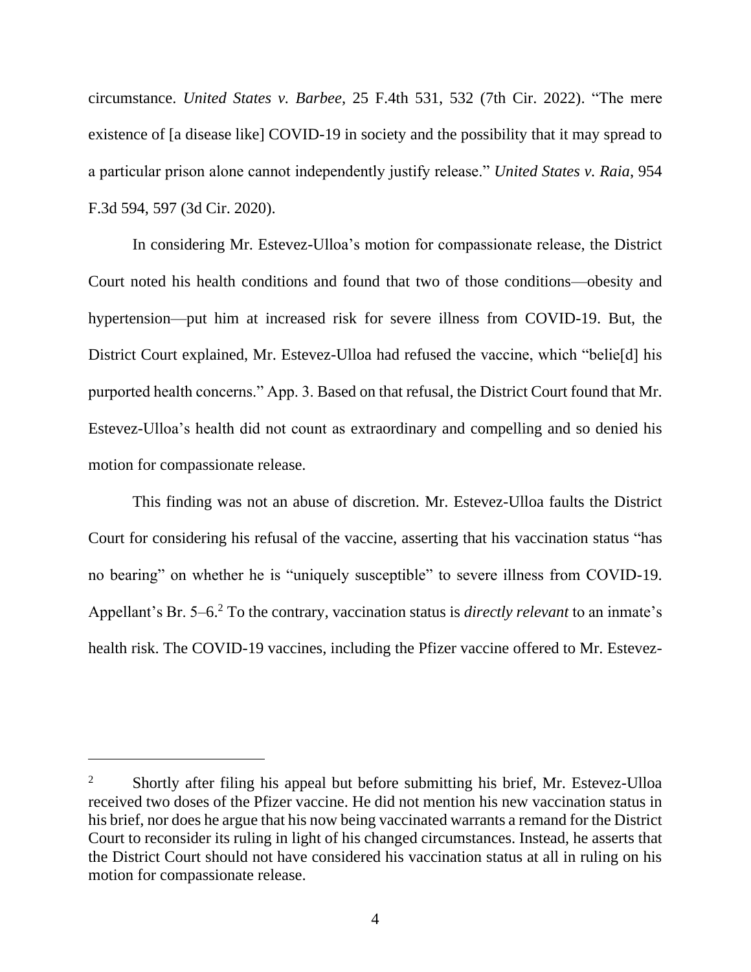circumstance. *United States v. Barbee*, 25 F.4th 531, 532 (7th Cir. 2022). "The mere existence of [a disease like] COVID-19 in society and the possibility that it may spread to a particular prison alone cannot independently justify release." *United States v. Raia*, 954 F.3d 594, 597 (3d Cir. 2020).

In considering Mr. Estevez-Ulloa's motion for compassionate release, the District Court noted his health conditions and found that two of those conditions—obesity and hypertension—put him at increased risk for severe illness from COVID-19. But, the District Court explained, Mr. Estevez-Ulloa had refused the vaccine, which "belie[d] his purported health concerns." App. 3. Based on that refusal, the District Court found that Mr. Estevez-Ulloa's health did not count as extraordinary and compelling and so denied his motion for compassionate release.

This finding was not an abuse of discretion. Mr. Estevez-Ulloa faults the District Court for considering his refusal of the vaccine, asserting that his vaccination status "has no bearing" on whether he is "uniquely susceptible" to severe illness from COVID-19. Appellant's Br. 5–6.<sup>2</sup> To the contrary, vaccination status is *directly relevant* to an inmate's health risk. The COVID-19 vaccines, including the Pfizer vaccine offered to Mr. Estevez-

<sup>&</sup>lt;sup>2</sup> Shortly after filing his appeal but before submitting his brief, Mr. Estevez-Ulloa received two doses of the Pfizer vaccine. He did not mention his new vaccination status in his brief, nor does he argue that his now being vaccinated warrants a remand for the District Court to reconsider its ruling in light of his changed circumstances. Instead, he asserts that the District Court should not have considered his vaccination status at all in ruling on his motion for compassionate release.